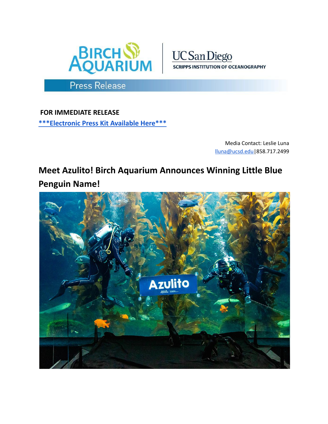



Press Release

**FOR IMMEDIATE RELEASE [\\*\\*\\*Electronic](https://drive.google.com/drive/folders/1Ga_dbjzPqIJeleZwQC30btx8HwkMR9Up) Press Kit Available Here\*\*\***

> Media Contact: Leslie Luna [lluna@ucsd.edu|](mailto:lluna@ucsd.edu)858.717.2499

**Meet Azulito! Birch Aquarium Announces Winning Little Blue Penguin Name!**

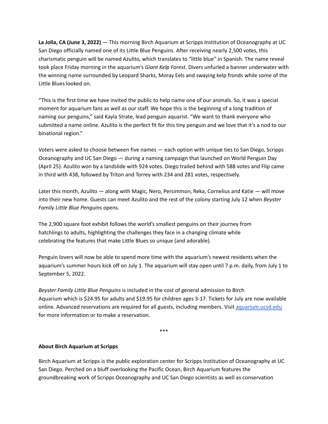**La Jolla, CA (June 3, 2022)** — This morning Birch Aquarium at Scripps Institution of Oceanography at UC San Diego officially named one of its Little Blue Penguins. After receiving nearly 2,500 votes, this charismatic penguin will be named Azulito, which translates to "little blue" in Spanish. The name reveal took place Friday morning in the aquarium's *Giant Kelp Forest*. Divers unfurled a banner underwater with the winning name surrounded by Leopard Sharks, Moray Eels and swaying kelp fronds while some of the Little Blues looked on.

"This is the first time we have invited the public to help name one of our animals. So, it was a special moment for aquarium fans as well as our staff. We hope this is the beginning of a long tradition of naming our penguins," said Kayla Strate, lead penguin aquarist. "We want to thank everyone who submitted a name online. Azulito is the perfect fit for this tiny penguin and we love that it's a nod to our binational region."

Voters were asked to choose between five names — each option with unique ties to San Diego, Scripps Oceanography and UC San Diego — during a naming campaign that launched on World Penguin Day (April 25). Azulito won by a landslide with 924 votes. Diego trailed behind with 588 votes and Flip came in third with 438, followed by Triton and Torrey with 234 and 281 votes, respectively.

Later this month, Azulito — along with Magic, Nero, Persimmon, Reka, Cornelius and Katie — will move into their new home. Guests can meet Azulito and the rest of the colony starting July 12 when *Beyster Family Little Blue Penguins* opens.

The 2,900 square foot exhibit follows the world's smallest penguins on their journey from hatchlings to adults, highlighting the challenges they face in a changing climate while celebrating the features that make Little Blues so unique (and adorable).

Penguin lovers will now be able to spend more time with the aquarium's newest residents when the aquarium's summer hours kick off on July 1. The aquarium will stay open until 7 p.m. daily, from July 1 to September 5, 2022.

*Beyster Family Little Blue Penguins* is included in the cost of general admission to Birch Aquarium which is \$24.95 for adults and \$19.95 for children ages 3-17. Tickets for July are now available online. Advanced reservations are required for all guests, including members. Visit [aquarium.ucsd.edu](https://aquarium.ucsd.edu/) for more information or to make a reservation.

\*\*\*

## **About Birch Aquarium at Scripps**

Birch Aquarium at Scripps is the public exploration center for Scripps Institution of Oceanography at UC San Diego. Perched on a bluff overlooking the Pacific Ocean, Birch Aquarium features the groundbreaking work of Scripps Oceanography and UC San Diego scientists as well as conservation